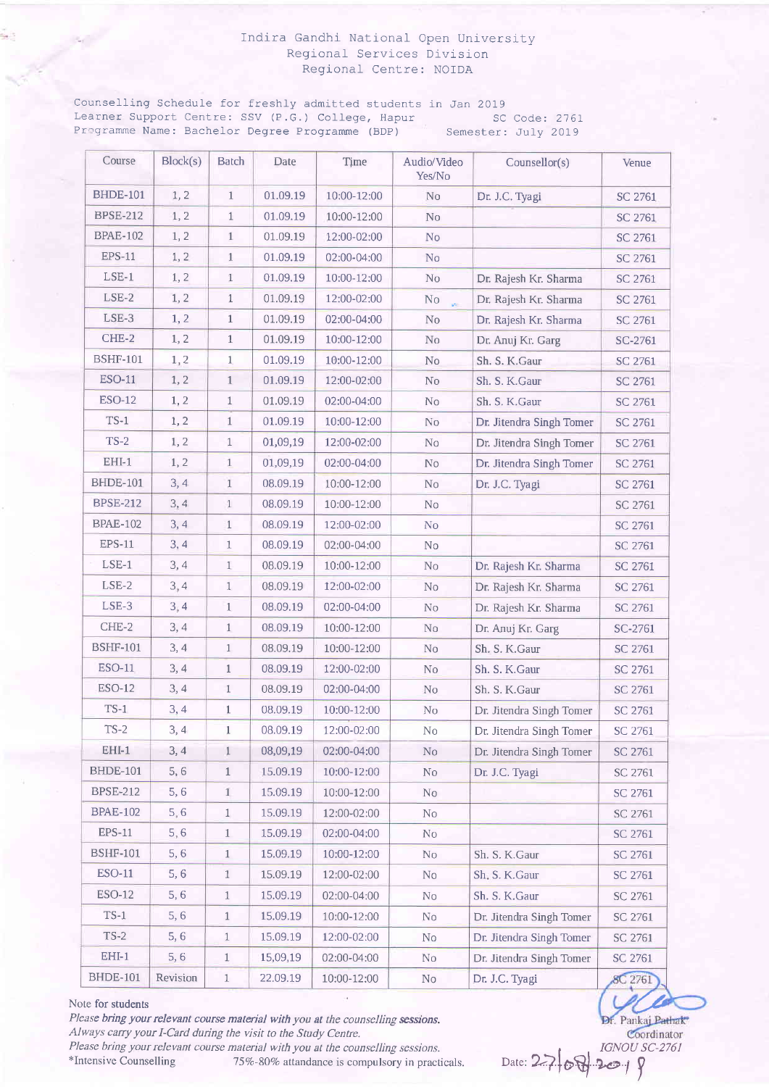### Indira Gandhi National Open University Regional Services Division Regional Centre: NOIDA

Counselling Schedule for freshly admitted students in Jan 2019 Learner Support Centre: SSV (P.G.) College, Hapur SC Code: 2761 Programme Name: Bachelor Degree Programme (BDP) Semester: July 2019

| Course          | Block(s) | <b>Batch</b> | Date     | Time        | Audio/Video<br>Yes/No          | Counsellor(s)            | Venue          |
|-----------------|----------|--------------|----------|-------------|--------------------------------|--------------------------|----------------|
| <b>BHDE-101</b> | 1, 2     | $\mathbf{1}$ | 01.09.19 | 10:00-12:00 | No                             | Dr. J.C. Tyagi           | SC 2761        |
| <b>BPSE-212</b> | 1, 2     | $\mathbf{1}$ | 01.09.19 | 10:00-12:00 | No                             |                          | SC 2761        |
| <b>BPAE-102</b> | 1, 2     | $\mathbf{1}$ | 01.09.19 | 12:00-02:00 | No                             |                          | SC 2761        |
| <b>EPS-11</b>   | 1, 2     | $1\,$        | 01.09.19 | 02:00-04:00 | No                             |                          | SC 2761        |
| $LSE-1$         | 1, 2     | 1            | 01.09.19 | 10:00-12:00 | N <sub>0</sub>                 | Dr. Rajesh Kr. Sharma    | SC 2761        |
| $LSE-2$         | 1, 2     | $\mathbf{1}$ | 01.09.19 | 12:00-02:00 | N <sub>o</sub><br>$\mathbf{w}$ | Dr. Rajesh Kr. Sharma    | SC 2761        |
| LSE-3           | 1, 2     | $\,1\,$      | 01.09.19 | 02:00-04:00 | N <sub>0</sub>                 | Dr. Rajesh Kr. Sharma    | <b>SC 2761</b> |
| CHE-2           | 1, 2     | $\mathbf{1}$ | 01.09.19 | 10:00-12:00 | No                             | Dr. Anuj Kr. Garg        | SC-2761        |
| <b>BSHF-101</b> | 1, 2     | $\mathbf{1}$ | 01.09.19 | 10:00-12:00 | No                             | Sh. S. K. Gaur           | SC 2761        |
| ESO-11          | 1, 2     | $\mathbf{1}$ | 01.09.19 | 12:00-02:00 | N <sub>o</sub>                 | Sh. S. K. Gaur           | SC 2761        |
| <b>ESO-12</b>   | 1, 2     | $\mathbf{1}$ | 01.09.19 | 02:00-04:00 | No                             | Sh. S. K. Gaur           | SC 2761        |
| $TS-1$          | 1, 2     | $\mathbf{1}$ | 01.09.19 | 10:00-12:00 | N <sub>o</sub>                 | Dr. Jitendra Singh Tomer | SC 2761        |
| $TS-2$          | 1, 2     | $\mathbf{1}$ | 01,09,19 | 12:00-02:00 | No                             | Dr. Jitendra Singh Tomer | SC 2761        |
| $EHI-1$         | 1, 2     | $\mathbf{1}$ | 01,09,19 | 02:00-04:00 | N <sub>0</sub>                 | Dr. Jitendra Singh Tomer | <b>SC 2761</b> |
| <b>BHDE-101</b> | 3,4      | $1\,$        | 08.09.19 | 10:00-12:00 | N <sub>o</sub>                 | Dr. J.C. Tyagi           | SC 2761        |
| <b>BPSE-212</b> | 3,4      | $\mathbf{1}$ | 08.09.19 | 10:00-12:00 | No                             |                          | SC 2761        |
| <b>BPAE-102</b> | 3, 4     | $\mathbf{1}$ | 08.09.19 | 12:00-02:00 | N <sub>0</sub>                 |                          | SC 2761        |
| <b>EPS-11</b>   | 3, 4     | $\mathbf{1}$ | 08.09.19 | 02:00-04:00 | No                             |                          | SC 2761        |
| $LSE-1$         | 3,4      | $\mathbf{1}$ | 08.09.19 | 10:00-12:00 | No                             | Dr. Rajesh Kr. Sharma    | SC 2761        |
| LSE-2           | 3,4      | $\mathbf{1}$ | 08.09.19 | 12:00-02:00 | No                             | Dr. Rajesh Kr. Sharma    | <b>SC 2761</b> |
| $LSE-3$         | 3,4      | $\mathbf{1}$ | 08.09.19 | 02:00-04:00 | No                             | Dr. Rajesh Kr. Sharma    | SC 2761        |
| CHE-2           | 3,4      | $\mathbf{1}$ | 08.09.19 | 10:00-12:00 | N <sub>o</sub>                 | Dr. Anuj Kr. Garg        | SC-2761        |
| <b>BSHF-101</b> | 3,4      | $\mathbf{1}$ | 08.09.19 | 10:00-12:00 | <b>No</b>                      | Sh. S. K.Gaur            | SC 2761        |
| <b>ESO-11</b>   | 3,4      | $\mathbf{1}$ | 08.09.19 | 12:00-02:00 | No                             | Sh. S. K. Gaur           | SC 2761        |
| $ESO-12$        | 3, 4     | 1            | 08.09.19 | 02:00-04:00 | No                             | Sh. S. K. Gaur           | <b>SC 2761</b> |
| $TS-1$          | 3,4      | $\mathbf{1}$ | 08.09.19 | 10:00-12:00 | No                             | Dr. Jitendra Singh Tomer | SC 2761        |
| $TS-2$          | 3,4      | $\mathbf{1}$ | 08.09.19 | 12:00-02:00 | No                             | Dr. Jitendra Singh Tomer | SC 2761        |
| $EHI-1$         | 3, 4     | 1            | 08,09,19 | 02:00-04:00 | N <sub>o</sub>                 | Dr. Jitendra Singh Tomer | <b>SC 2761</b> |
| <b>BHDE-101</b> | 5, 6     | $1\,$        | 15.09.19 | 10:00-12:00 | No                             | Dr. J.C. Tyagi           | SC 2761        |
| <b>BPSE-212</b> | 5,6      | $\mathbf{1}$ | 15.09.19 | 10:00-12:00 | No                             |                          | SC 2761        |
| <b>BPAE-102</b> | 5, 6     | $\mathbf{1}$ | 15.09.19 | 12:00-02:00 | No                             |                          | SC 2761        |
| <b>EPS-11</b>   | 5, 6     | $\mathbf{1}$ | 15.09.19 | 02:00-04:00 | N <sub>o</sub>                 |                          | SC 2761        |
| <b>BSHF-101</b> | 5, 6     | $\mathbf{1}$ | 15.09.19 | 10:00-12:00 | N <sub>o</sub>                 | Sh. S. K. Gaur           | <b>SC 2761</b> |
| <b>ESO-11</b>   | 5,6      | $\mathbf{1}$ | 15.09.19 | 12:00-02:00 | No                             | Sh. S. K. Gaur           | SC 2761        |
| <b>ESO-12</b>   | 5,6      | $\mathbf{1}$ | 15.09.19 | 02:00-04:00 | N <sub>o</sub>                 | Sh. S. K. Gaur           | SC 2761        |
| $TS-1$          | 5,6      | $\mathbf{1}$ | 15.09.19 | 10:00-12:00 | No                             | Dr. Jitendra Singh Tomer | SC 2761        |
| $TS-2$          | 5,6      | $\mathbf{1}$ | 15.09.19 | 12:00-02:00 | No                             | Dr. Jitendra Singh Tomer | SC 2761        |
| $EHI-1$         | 5,6      | $\mathbf{1}$ | 15,09,19 | 02:00-04:00 | No                             | Dr. Jitendra Singh Tomer | SC 2761        |
| <b>BHDE-101</b> | Revision | $\mathbf{1}$ | 22.09.19 | 10:00-12:00 | $\rm No$                       | Dr. J.C. Tyagi           | <b>8C</b> 2761 |

#### Note for students

Please bring your relevant course material with you at the counselling sessions. Always carry your I-Card during the visit to the Study Centre. Please bring your relevant course material with you at the counselling sessions.<br>\*Intensive Counselling 75%-80% attandance is compulsory in pract 75%-80% attandance is compulsory in practicals.

Dr. Pankaj Pathak Coordinator<br>IGNOU SC-2761

 $Date: 2769 - 2019$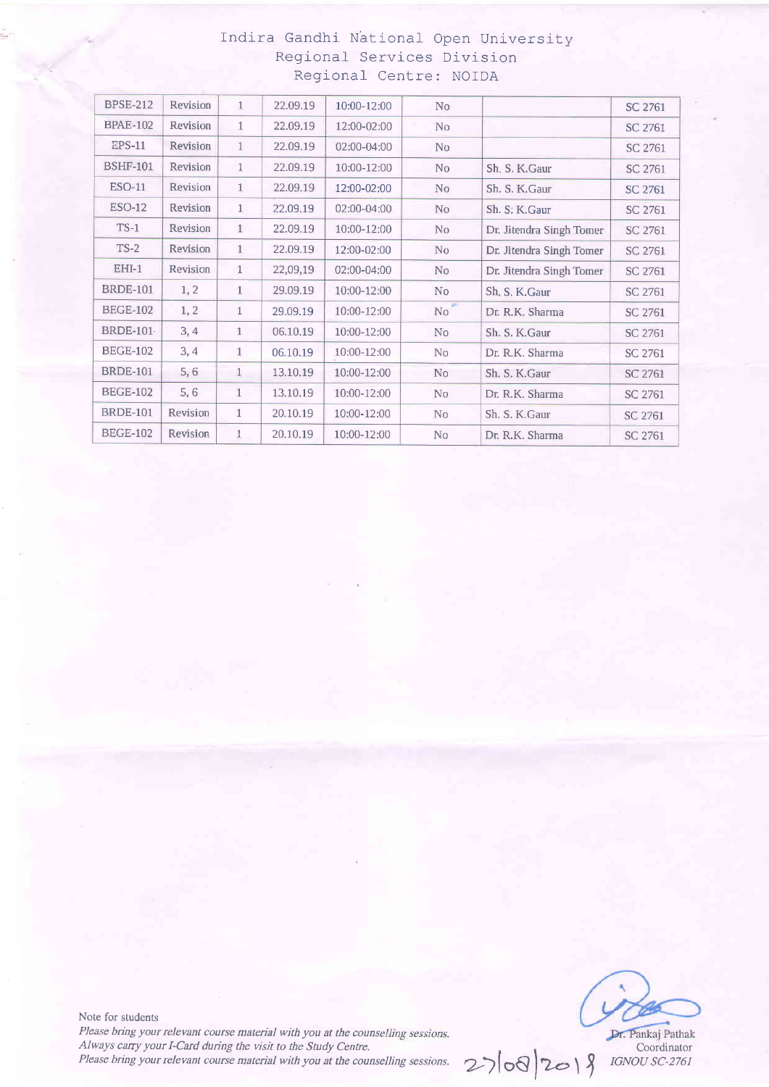# Indira Gandhi National- Open University Reglonal Services Division Regional Centre: NOIDA

| <b>BPSE-212</b> | Revision | $\mathbf{1}$ | 22.09.19 | 10:00-12:00 | No             |                          | SC 2761        |
|-----------------|----------|--------------|----------|-------------|----------------|--------------------------|----------------|
| <b>BPAE-102</b> | Revision | $\mathbf{1}$ | 22.09.19 | 12:00-02:00 | No             |                          |                |
|                 |          |              |          |             |                |                          | SC 2761        |
| <b>EPS-11</b>   | Revision | $\mathbf{1}$ | 22.09.19 | 02:00-04:00 | N <sub>0</sub> |                          | SC 2761        |
| <b>BSHF-101</b> | Revision | 1            | 22.09.19 | 10:00-12:00 | N <sub>0</sub> | Sh. S. K. Gaur           | SC 2761        |
| <b>ESO-11</b>   | Revision | $\mathbf{1}$ | 22.09.19 | 12:00-02:00 | No             | Sh. S. K. Gaur           | <b>SC 2761</b> |
| <b>ESO-12</b>   | Revision | $\mathbf{1}$ | 22.09.19 | 02:00-04:00 | N <sub>o</sub> | Sh. S: K.Gaur            | SC 2761        |
| $TS-1$          | Revision | $\mathbf{1}$ | 22.09.19 | 10:00-12:00 | N <sub>o</sub> | Dr. Jitendra Singh Tomer | SC 2761        |
| $TS-2$          | Revision | $\mathbf{1}$ | 22.09.19 | 12:00-02:00 | No             | Dr. Jitendra Singh Tomer | SC 2761        |
| $EHI-1$         | Revision | $\mathbf{1}$ | 22,09,19 | 02:00-04:00 | N <sub>o</sub> | Dr. Jitendra Singh Tomer | SC 2761        |
| <b>BRDE-101</b> | 1, 2     | $\mathbf{1}$ | 29.09.19 | 10:00-12:00 | N <sub>0</sub> | Sh. S. K. Gaur           | SC 2761        |
| <b>BEGE-102</b> | 1, 2     | $\mathbf{1}$ | 29.09.19 | 10:00-12:00 | No             | Dr. R.K. Sharma          | SC 2761        |
| <b>BRDE-101</b> | 3, 4     | $\mathbf{1}$ | 06.10.19 | 10:00-12:00 | No             | Sh. S. K. Gaur           | SC 2761        |
| <b>BEGE-102</b> | 3,4      | $\mathbf{1}$ | 06.10.19 | 10:00-12:00 | N <sub>0</sub> | Dr. R.K. Sharma          | SC 2761        |
| <b>BRDE-101</b> | 5,6      | $\mathbf{1}$ | 13.10.19 | 10:00-12:00 | N <sub>o</sub> | Sh. S. K. Gaur           | SC 2761        |
| <b>BEGE-102</b> | 5,6      | $\mathbf{1}$ | 13.10.19 | 10:00-12:00 | No             | Dr. R.K. Sharma          | SC 2761        |
| <b>BRDE-101</b> | Revision | $\mathbf{1}$ | 20.10.19 | 10:00-12:00 | No             | Sh. S. K. Gaur           | SC 2761        |
| <b>BEGE-102</b> | Revision | $\mathbf{1}$ | 20.10.19 | 10:00-12:00 | No             | Dr. R.K. Sharma          | SC 2761        |

Note for students Please bring your relevant course material with you at the counselling sessions. Please bring your relevant course material with you at the counselling sessions.<br>Always carry your I-Card during the visit to the Study Centre.<br>Please bring your relevant course material with you at the counselling session Please bring your relevant course material with you at the counselling sessions.

 $2708/2018$  IGNOU SC-276.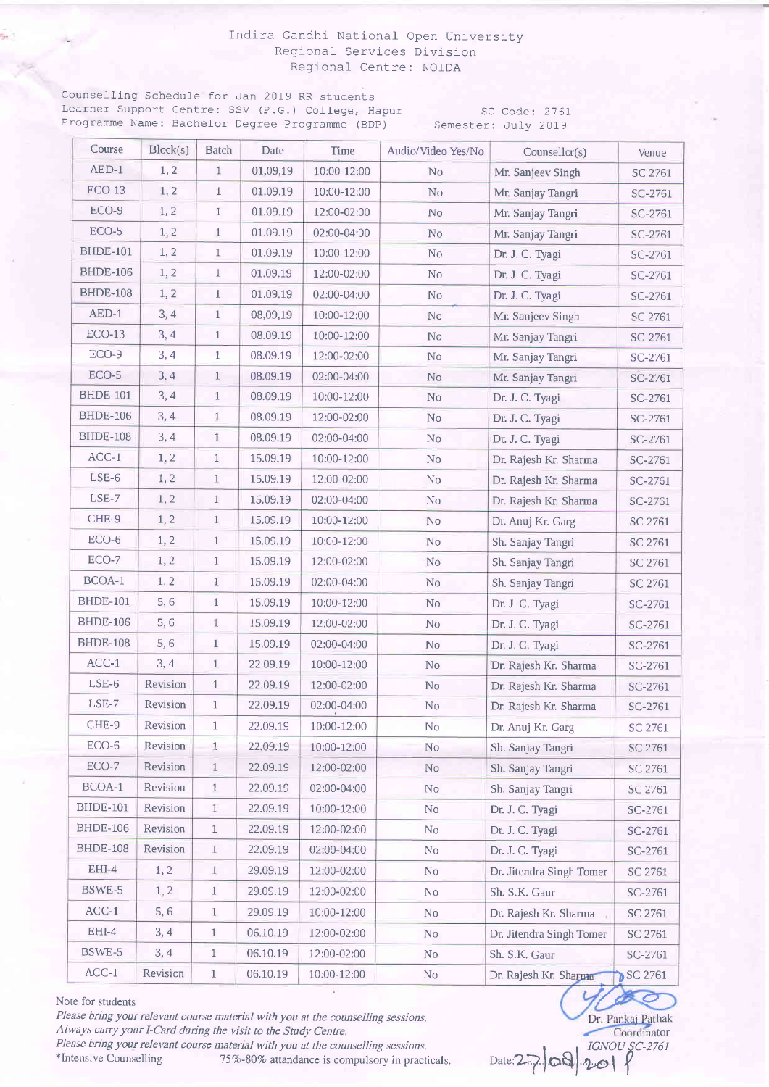### Indira Gandhi National Open University Regional Services Division Regional Centre: NOIDA

Counselling Schedule for Jan 2019 RR students Learner Support Centre: SSV (P.G.) College, Hapur SC Code: 2761 Programme Name: Bachelor Degree Programme (BDP) Semester: July 2019

| Course          | Block(s) | Batch        | Date     | Time        | Audio/Video Yes/No | Counsellor(s)            | Venue   |
|-----------------|----------|--------------|----------|-------------|--------------------|--------------------------|---------|
| $AED-1$         | 1, 2     | $\mathbf{1}$ | 01,09,19 | 10:00-12:00 | N <sub>0</sub>     | Mr. Sanjeev Singh        | SC 2761 |
| $ECO-13$        | 1, 2     | $\mathbf{1}$ | 01.09.19 | 10:00-12:00 | N <sub>o</sub>     | Mr. Sanjay Tangri        | SC-2761 |
| ECO-9           | 1, 2     | 1            | 01.09.19 | 12:00-02:00 | N <sub>o</sub>     | Mr. Sanjay Tangri        | SC-2761 |
| ECO-5           | 1, 2     | $\mathbf{1}$ | 01.09.19 | 02:00-04:00 | No                 | Mr. Sanjay Tangri        | SC-2761 |
| <b>BHDE-101</b> | 1, 2     | $\mathbf{1}$ | 01.09.19 | 10:00-12:00 | N <sub>o</sub>     | Dr. J. C. Tyagi          | SC-2761 |
| <b>BHDE-106</b> | 1, 2     | $\mathbf{1}$ | 01.09.19 | 12:00-02:00 | No                 | Dr. J. C. Tyagi          | SC-2761 |
| <b>BHDE-108</b> | 1, 2     | $1\,$        | 01.09.19 | 02:00-04:00 | No                 | Dr. J. C. Tyagi          | SC-2761 |
| AED-1           | 3,4      | $\mathbf{1}$ | 08,09,19 | 10:00-12:00 | No                 | Mr. Sanjeev Singh        | SC 2761 |
| $ECO-13$        | 3,4      | $\mathbf{1}$ | 08.09.19 | 10:00-12:00 | No                 | Mr. Sanjay Tangri        | SC-2761 |
| ECO-9           | 3,4      | $\mathbf{1}$ | 08.09.19 | 12:00-02:00 | No                 | Mr. Sanjay Tangri        | SC-2761 |
| ECO-5           | 3, 4     | $\mathbf{1}$ | 08.09.19 | 02:00-04:00 | No                 | Mr. Sanjay Tangri        | SC-2761 |
| <b>BHDE-101</b> | 3,4      | $\mathbf{1}$ | 08.09.19 | 10:00-12:00 | No                 | Dr. J. C. Tyagi          | SC-2761 |
| <b>BHDE-106</b> | 3,4      | $\mathbf{1}$ | 08.09.19 | 12:00-02:00 | No                 | Dr. J. C. Tyagi          | SC-2761 |
| <b>BHDE-108</b> | 3, 4     | $\mathbf{1}$ | 08.09.19 | 02:00-04:00 | No                 | Dr. J. C. Tyagi          | SC-2761 |
| $ACC-1$         | 1, 2     | 1            | 15.09.19 | 10:00-12:00 | No                 | Dr. Rajesh Kr. Sharma    | SC-2761 |
| LSE-6           | 1, 2     | $\mathbf{1}$ | 15.09.19 | 12:00-02:00 | N <sub>o</sub>     | Dr. Rajesh Kr. Sharma    | SC-2761 |
| LSE-7           | 1, 2     | $\mathbf{1}$ | 15.09.19 | 02:00-04:00 | No                 | Dr. Rajesh Kr. Sharma    | SC-2761 |
| CHE-9           | 1, 2     | $\mathbf{1}$ | 15.09.19 | 10:00-12:00 | No                 | Dr. Anuj Kr. Garg        | SC 2761 |
| ECO-6           | 1, 2     | $1\,$        | 15.09.19 | 10:00-12:00 | N <sub>o</sub>     | Sh. Sanjay Tangri        | SC 2761 |
| ECO-7           | 1, 2     | $\mathbf{1}$ | 15.09.19 | 12:00-02:00 | No                 | Sh. Sanjay Tangri        | SC 2761 |
| BCOA-1          | 1, 2     | $\mathbf{1}$ | 15.09.19 | 02:00-04:00 | No                 | Sh. Sanjay Tangri        | SC 2761 |
| <b>BHDE-101</b> | 5, 6     | $\mathbf{1}$ | 15.09.19 | 10:00-12:00 | No                 | Dr. J. C. Tyagi          | SC-2761 |
| <b>BHDE-106</b> | 5,6      | $\mathbf{1}$ | 15.09.19 | 12:00-02:00 | No                 | Dr. J. C. Tyagi          | SC-2761 |
| <b>BHDE-108</b> | 5,6      | $\mathbf{1}$ | 15.09.19 | 02:00-04:00 | No                 | Dr. J. C. Tyagi          | SC-2761 |
| $ACC-1$         | 3, 4     | $\mathbf{1}$ | 22.09.19 | 10:00-12:00 | No                 | Dr. Rajesh Kr. Sharma    | SC-2761 |
| $LSE-6$         | Revision | $1\,$        | 22.09.19 | 12:00-02:00 | No                 | Dr. Rajesh Kr. Sharma    | SC-2761 |
| LSE-7           | Revision | $\mathbf{1}$ | 22.09.19 | 02:00-04:00 | No                 | Dr. Rajesh Kr. Sharma    | SC-2761 |
| CHE-9           | Revision | $1\,$        | 22.09.19 | 10:00-12:00 | No                 | Dr. Anuj Kr. Garg        | SC 2761 |
| ECO-6           | Revision | $1\,$        | 22.09.19 | 10:00-12:00 | No                 | Sh. Sanjay Tangri        | SC 2761 |
| ECO-7           | Revision | $\mathbf{1}$ | 22.09.19 | 12:00-02:00 | No                 | Sh. Sanjay Tangri        | SC 2761 |
| BCOA-1          | Revision | $\mathbf{1}$ | 22.09.19 | 02:00-04:00 | No                 | Sh. Sanjay Tangri        | SC 2761 |
| <b>BHDE-101</b> | Revision | $\mathbf{1}$ | 22.09.19 | 10:00-12:00 | No                 | Dr. J. C. Tyagi          | SC-2761 |
| <b>BHDE-106</b> | Revision | $\mathbf{1}$ | 22.09.19 | 12:00-02:00 | N <sub>o</sub>     | Dr. J. C. Tyagi          | SC-2761 |
| <b>BHDE-108</b> | Revision | $\mathbf{1}$ | 22.09.19 | 02:00-04:00 | No                 | Dr. J. C. Tyagi          | SC-2761 |
| EHI-4           | 1, 2     | $\bar{1}$    | 29.09.19 | 12:00-02:00 | No                 | Dr. Jitendra Singh Tomer | SC 2761 |
| BSWE-5          | 1, 2     | $\mathbf{1}$ | 29.09.19 | 12:00-02:00 | No                 | Sh. S.K. Gaur            | SC-2761 |
| $ACC-1$         | 5, 6     | $\mathbf{1}$ | 29.09.19 | 10:00-12:00 | N <sub>o</sub>     | Dr. Rajesh Kr. Sharma    | SC 2761 |
| EHI-4           | 3,4      | $\mathbf{1}$ | 06.10.19 | 12:00-02:00 | N <sub>o</sub>     | Dr. Jitendra Singh Tomer | SC 2761 |
| BSWE-5          | 3, 4     | $\mathbf{1}$ | 06.10.19 | 12:00-02:00 | N <sub>o</sub>     | Sh. S.K. Gaur            | SC-2761 |
| $ACC-1$         | Revision | $\,1$        | 06.10.19 | 10:00-12:00 | No                 | Dr. Rajesh Kr. Sharma    | SC 2761 |

Note for students

Please bring your relevant course material with you at the counselling sessions. Always carry your l-Card during the visit to the Study Centre. Please bring your relevant course material with you at the counselling sessions. \*Intensive Counselling 75%-80% attandance is compulsory in practicals.

Dr. Pankaj Pathak Coordinator y/ac  $\text{Date:} 27 \cdot | \text{OS} | \cdot 20 \cdot | \cdot \text{C}$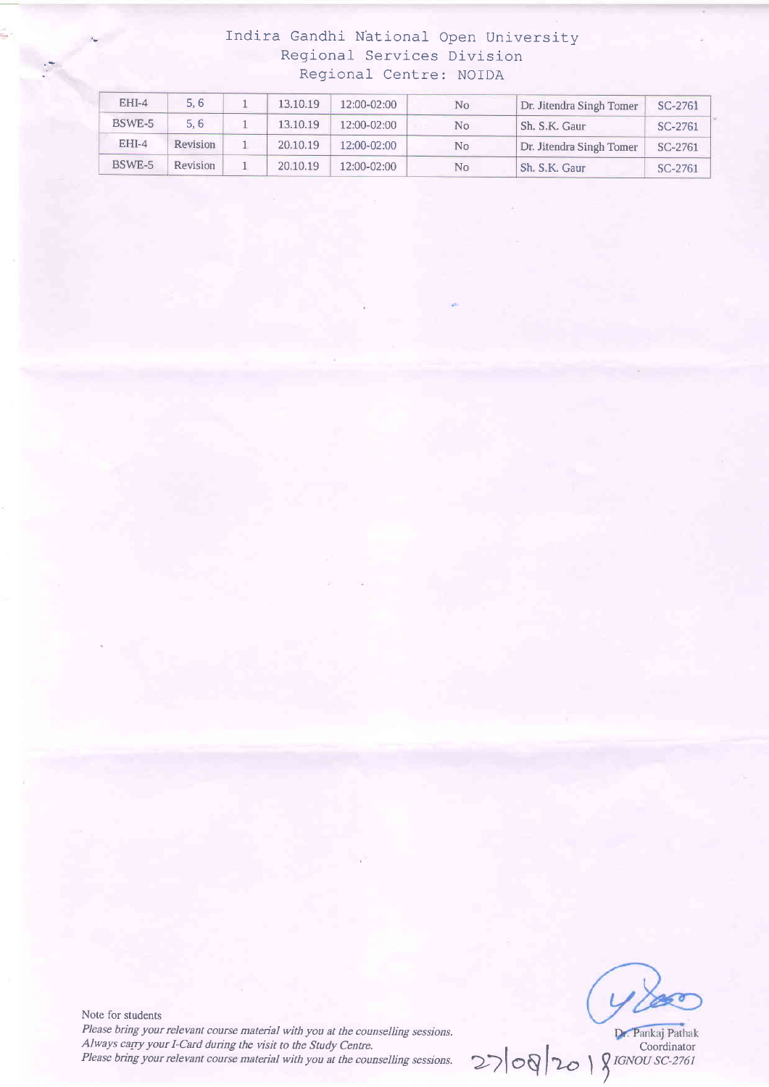## Indira Gandhi National Open University Regiona] Services Division Reqional Centre: NOIDA

| $EHI-4$ | 5, 6            | 13.10.19 | 12:00-02:00 | No             | Dr. Jitendra Singh Tomer | SC-2761 |
|---------|-----------------|----------|-------------|----------------|--------------------------|---------|
| BSWE-5  | 5, 6            | 13.10.19 | 12:00-02:00 | No             | Sh. S.K. Gaur            | SC-2761 |
| $EHI-4$ | <b>Revision</b> | 20.10.19 | 12:00-02:00 | N <sub>0</sub> | Dr. Jitendra Singh Tomer | SC-2761 |
| BSWE-5  | <b>Revision</b> | 20.10.19 | 12:00-02:00 | No             | Sh. S.K. Gaur            | SC-2761 |

Note for students Please bring your relevant course material with you at the counselling sessions. Always carry your I-Card during the visit to the Study Centre. Please bring your relevant course material with you at the counselling sessions.

Coordinator  $\gamma$  *IGNOU SC-2761*